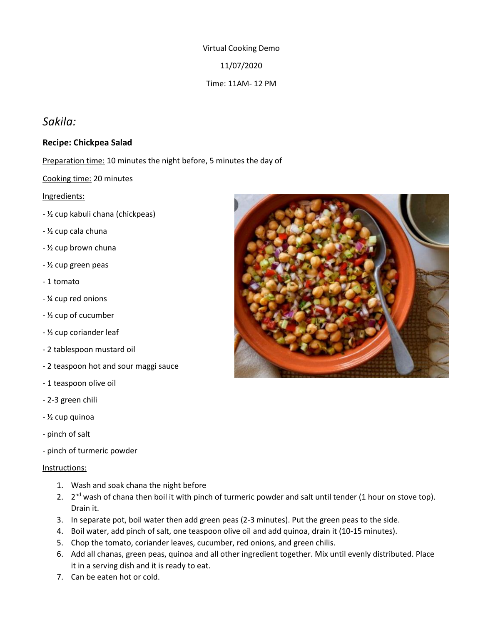Virtual Cooking Demo 11/07/2020 Time: 11AM- 12 PM

# *Sakila:*

## **Recipe: Chickpea Salad**

Preparation time: 10 minutes the night before, 5 minutes the day of

#### Cooking time: 20 minutes

#### Ingredients:

- ½ cup kabuli chana (chickpeas)
- ½ cup cala chuna
- ½ cup brown chuna
- ½ cup green peas
- 1 tomato
- ¼ cup red onions
- ½ cup of cucumber
- ½ cup coriander leaf
- 2 tablespoon mustard oil
- 2 teaspoon hot and sour maggi sauce
- 1 teaspoon olive oil
- 2-3 green chili
- ½ cup quinoa
- pinch of salt
- pinch of turmeric powder

#### Instructions:

- 1. Wash and soak chana the night before
- 2. 2<sup>nd</sup> wash of chana then boil it with pinch of turmeric powder and salt until tender (1 hour on stove top). Drain it.
- 3. In separate pot, boil water then add green peas (2-3 minutes). Put the green peas to the side.
- 4. Boil water, add pinch of salt, one teaspoon olive oil and add quinoa, drain it (10-15 minutes).
- 5. Chop the tomato, coriander leaves, cucumber, red onions, and green chilis.
- 6. Add all chanas, green peas, quinoa and all other ingredient together. Mix until evenly distributed. Place it in a serving dish and it is ready to eat.
- 7. Can be eaten hot or cold.